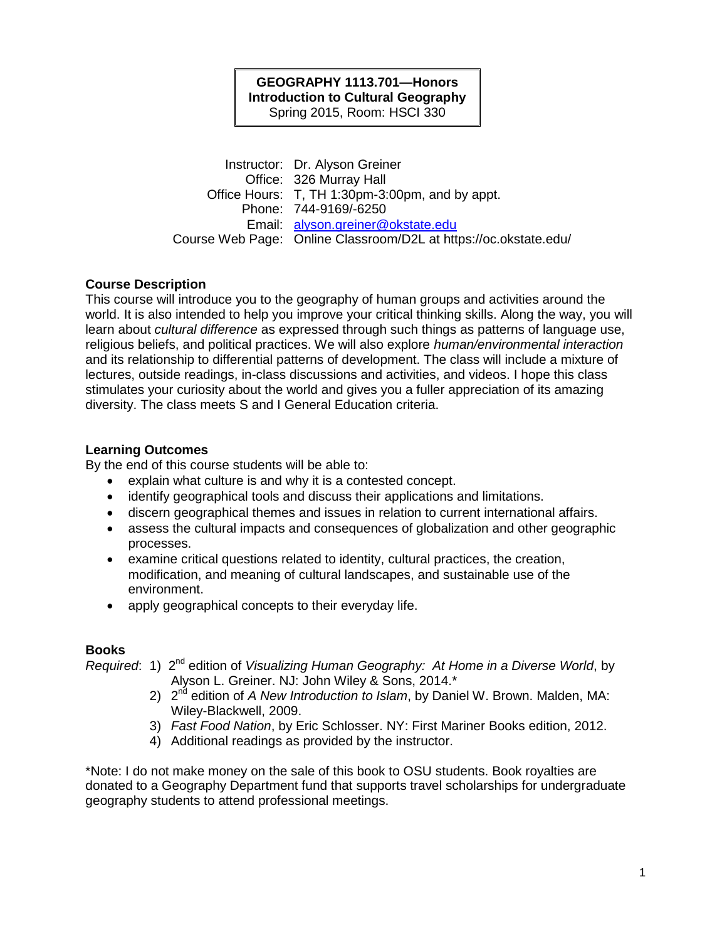## **GEOGRAPHY 1113.701—Honors Introduction to Cultural Geography** Spring 2015, Room: HSCI 330

Instructor: Dr. Alyson Greiner Office: 326 Murray Hall Office Hours: T, TH 1:30pm-3:00pm, and by appt. Phone: 744-9169/-6250 Email: [alyson.greiner@okstate.edu](mailto:alyson.greiner@okstate.edu) Course Web Page: Online Classroom/D2L at https://oc.okstate.edu/

# **Course Description**

This course will introduce you to the geography of human groups and activities around the world. It is also intended to help you improve your critical thinking skills. Along the way, you will learn about *cultural difference* as expressed through such things as patterns of language use, religious beliefs, and political practices. We will also explore *human/environmental interaction* and its relationship to differential patterns of development. The class will include a mixture of lectures, outside readings, in-class discussions and activities, and videos. I hope this class stimulates your curiosity about the world and gives you a fuller appreciation of its amazing diversity. The class meets S and I General Education criteria.

# **Learning Outcomes**

By the end of this course students will be able to:

- explain what culture is and why it is a contested concept.
- identify geographical tools and discuss their applications and limitations.
- discern geographical themes and issues in relation to current international affairs.
- assess the cultural impacts and consequences of globalization and other geographic processes.
- examine critical questions related to identity, cultural practices, the creation, modification, and meaning of cultural landscapes, and sustainable use of the environment.
- apply geographical concepts to their everyday life.

# **Books**

Required: 1) 2<sup>nd</sup> edition of *Visualizing Human Geography: At Home in a Diverse World*, by Alyson L. Greiner. NJ: John Wiley & Sons, 2014.\*

- 2) 2<sup>nd</sup> edition of *A New Introduction to Islam*, by Daniel W. Brown. Malden, MA: Wiley-Blackwell, 2009.
- 3) *Fast Food Nation*, by Eric Schlosser. NY: First Mariner Books edition, 2012.
- 4) Additional readings as provided by the instructor.

\*Note: I do not make money on the sale of this book to OSU students. Book royalties are donated to a Geography Department fund that supports travel scholarships for undergraduate geography students to attend professional meetings.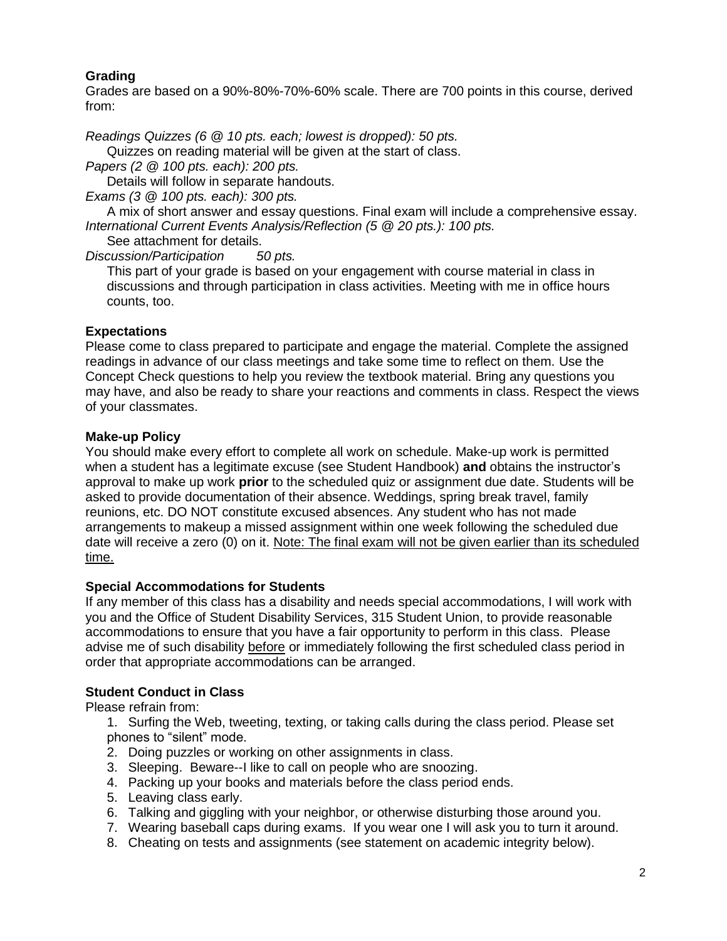# **Grading**

Grades are based on a 90%-80%-70%-60% scale. There are 700 points in this course, derived from:

*Readings Quizzes (6 @ 10 pts. each; lowest is dropped): 50 pts.*

Quizzes on reading material will be given at the start of class.

*Papers (2 @ 100 pts. each): 200 pts.*

Details will follow in separate handouts.

*Exams (3 @ 100 pts. each): 300 pts.*

A mix of short answer and essay questions. Final exam will include a comprehensive essay. *International Current Events Analysis/Reflection (5 @ 20 pts.): 100 pts.*

See attachment for details.

*Discussion/Participation 50 pts.*

This part of your grade is based on your engagement with course material in class in discussions and through participation in class activities. Meeting with me in office hours counts, too.

# **Expectations**

Please come to class prepared to participate and engage the material. Complete the assigned readings in advance of our class meetings and take some time to reflect on them. Use the Concept Check questions to help you review the textbook material. Bring any questions you may have, and also be ready to share your reactions and comments in class. Respect the views of your classmates.

# **Make-up Policy**

You should make every effort to complete all work on schedule. Make-up work is permitted when a student has a legitimate excuse (see Student Handbook) **and** obtains the instructor's approval to make up work **prior** to the scheduled quiz or assignment due date. Students will be asked to provide documentation of their absence. Weddings, spring break travel, family reunions, etc. DO NOT constitute excused absences. Any student who has not made arrangements to makeup a missed assignment within one week following the scheduled due date will receive a zero (0) on it. Note: The final exam will not be given earlier than its scheduled time.

# **Special Accommodations for Students**

If any member of this class has a disability and needs special accommodations, I will work with you and the Office of Student Disability Services, 315 Student Union, to provide reasonable accommodations to ensure that you have a fair opportunity to perform in this class. Please advise me of such disability before or immediately following the first scheduled class period in order that appropriate accommodations can be arranged.

# **Student Conduct in Class**

Please refrain from:

- 1. Surfing the Web, tweeting, texting, or taking calls during the class period. Please set phones to "silent" mode.
- 2. Doing puzzles or working on other assignments in class.
- 3. Sleeping. Beware--I like to call on people who are snoozing.
- 4. Packing up your books and materials before the class period ends.
- 5. Leaving class early.
- 6. Talking and giggling with your neighbor, or otherwise disturbing those around you.
- 7. Wearing baseball caps during exams. If you wear one I will ask you to turn it around.
- 8. Cheating on tests and assignments (see statement on academic integrity below).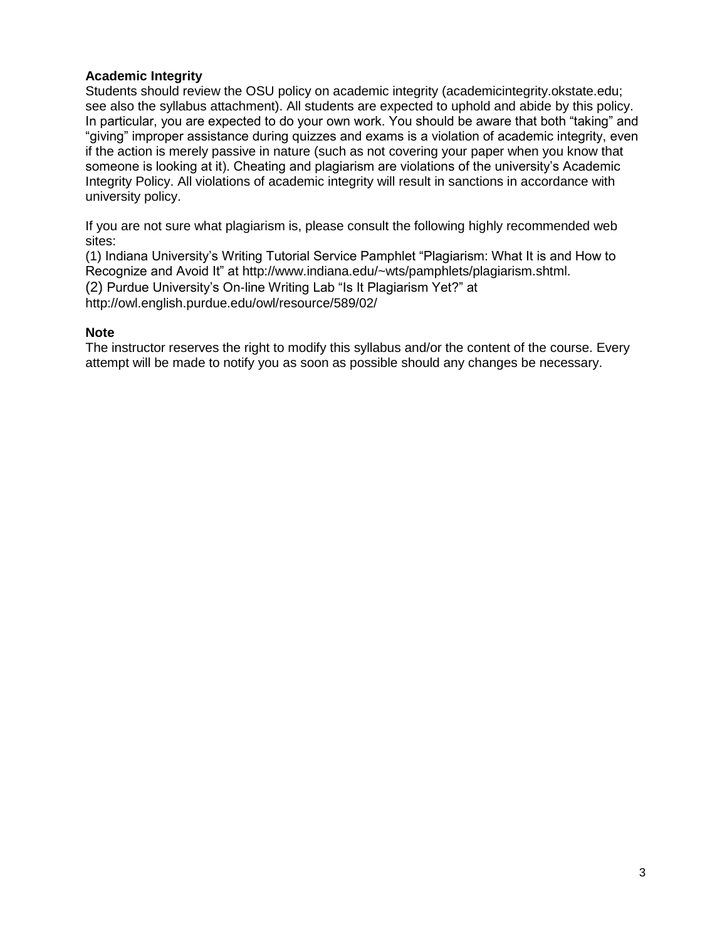# **Academic Integrity**

Students should review the OSU policy on academic integrity (academicintegrity.okstate.edu; see also the syllabus attachment). All students are expected to uphold and abide by this policy. In particular, you are expected to do your own work. You should be aware that both "taking" and "giving" improper assistance during quizzes and exams is a violation of academic integrity, even if the action is merely passive in nature (such as not covering your paper when you know that someone is looking at it). Cheating and plagiarism are violations of the university's Academic Integrity Policy. All violations of academic integrity will result in sanctions in accordance with university policy.

If you are not sure what plagiarism is, please consult the following highly recommended web sites:

(1) Indiana University's Writing Tutorial Service Pamphlet "Plagiarism: What It is and How to Recognize and Avoid It" at http://www.indiana.edu/~wts/pamphlets/plagiarism.shtml. (2) Purdue University's On-line Writing Lab "Is It Plagiarism Yet?" at http://owl.english.purdue.edu/owl/resource/589/02/

# **Note**

The instructor reserves the right to modify this syllabus and/or the content of the course. Every attempt will be made to notify you as soon as possible should any changes be necessary.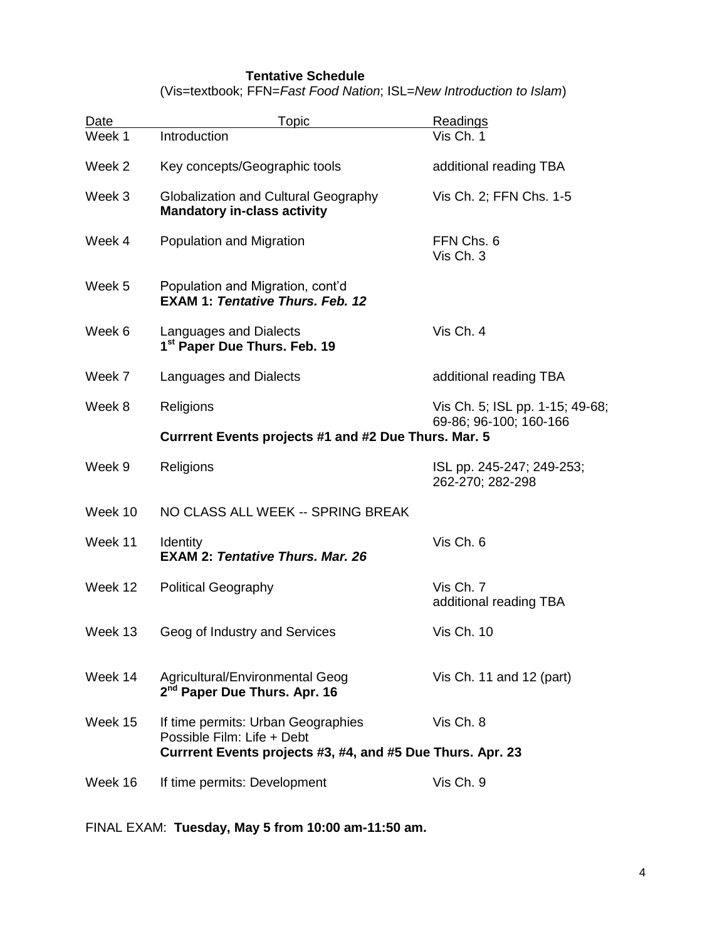# **Tentative Schedule**

(Vis=textbook; FFN=*Fast Food Nation*; ISL=*New Introduction to Islam*)

| Date                                                       | Topic                                                                             | Readings                                                  |  |
|------------------------------------------------------------|-----------------------------------------------------------------------------------|-----------------------------------------------------------|--|
| Week 1                                                     | Introduction                                                                      | Vis Ch. 1                                                 |  |
| Week 2                                                     | Key concepts/Geographic tools                                                     | additional reading TBA                                    |  |
| Week 3                                                     | <b>Globalization and Cultural Geography</b><br><b>Mandatory in-class activity</b> | Vis Ch. 2; FFN Chs. 1-5                                   |  |
| Week 4                                                     | Population and Migration                                                          | FFN Chs. 6<br>Vis Ch. 3                                   |  |
| Week 5                                                     | Population and Migration, cont'd<br><b>EXAM 1: Tentative Thurs, Feb. 12</b>       |                                                           |  |
| Week 6                                                     | Languages and Dialects<br>1 <sup>st</sup> Paper Due Thurs. Feb. 19                | Vis Ch. 4                                                 |  |
| Week 7                                                     | Languages and Dialects                                                            | additional reading TBA                                    |  |
| Week 8                                                     | Religions                                                                         | Vis Ch. 5; ISL pp. 1-15; 49-68;<br>69-86; 96-100; 160-166 |  |
| Currrent Events projects #1 and #2 Due Thurs. Mar. 5       |                                                                                   |                                                           |  |
| Week 9                                                     | Religions                                                                         | ISL pp. 245-247; 249-253;<br>262-270; 282-298             |  |
| Week 10                                                    | NO CLASS ALL WEEK -- SPRING BREAK                                                 |                                                           |  |
| Week 11                                                    | <b>Identity</b><br><b>EXAM 2: Tentative Thurs, Mar. 26</b>                        | Vis Ch. 6                                                 |  |
| Week 12                                                    | <b>Political Geography</b>                                                        | Vis Ch. 7<br>additional reading TBA                       |  |
| Week 13                                                    | Geog of Industry and Services                                                     | <b>Vis Ch. 10</b>                                         |  |
| Week 14                                                    | Agricultural/Environmental Geog<br>2 <sup>nd</sup> Paper Due Thurs. Apr. 16       | Vis Ch. 11 and 12 (part)                                  |  |
| Week 15                                                    | If time permits: Urban Geographies<br>Possible Film: Life + Debt                  | Vis Ch. 8                                                 |  |
| Currrent Events projects #3, #4, and #5 Due Thurs. Apr. 23 |                                                                                   |                                                           |  |
| Week 16                                                    | If time permits: Development                                                      | Vis Ch. 9                                                 |  |

FINAL EXAM: **Tuesday, May 5 from 10:00 am-11:50 am.**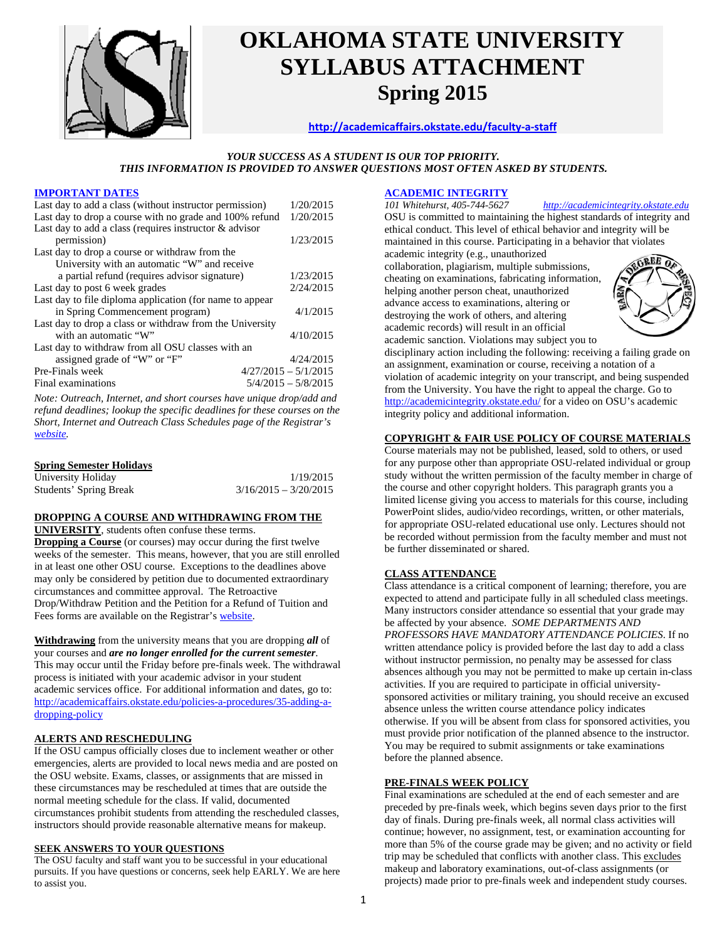

# **OKLAHOMA STATE UNIVERSITY SYLLABUS ATTACHMENT Spring 2015**

## **http://academicaffairs.okstate.edu/faculty‐a‐staff**

## *YOUR SUCCESS AS A STUDENT IS OUR TOP PRIORITY. THIS INFORMATION IS PROVIDED TO ANSWER QUESTIONS MOST OFTEN ASKED BY STUDENTS.*

## **IMPORTANT DATES**

| Last day to add a class (without instructor permission)   | 1/20/2015              |  |  |  |
|-----------------------------------------------------------|------------------------|--|--|--|
| Last day to drop a course with no grade and 100% refund   | 1/20/2015              |  |  |  |
| Last day to add a class (requires instructor $\&$ advisor |                        |  |  |  |
| permission)                                               | 1/23/2015              |  |  |  |
| Last day to drop a course or withdraw from the            |                        |  |  |  |
| University with an automatic "W" and receive              |                        |  |  |  |
| a partial refund (requires advisor signature)             | 1/23/2015              |  |  |  |
| Last day to post 6 week grades                            | 2/24/2015              |  |  |  |
| Last day to file diploma application (for name to appear  |                        |  |  |  |
| in Spring Commencement program)                           | 4/1/2015               |  |  |  |
| Last day to drop a class or withdraw from the University  |                        |  |  |  |
| with an automatic "W"                                     | 4/10/2015              |  |  |  |
| Last day to withdraw from all OSU classes with an         |                        |  |  |  |
| assigned grade of "W" or "F"                              | 4/24/2015              |  |  |  |
| Pre-Finals week                                           | $4/27/2015 - 5/1/2015$ |  |  |  |
| Final examinations                                        | $5/4/2015 - 5/8/2015$  |  |  |  |

*Note: Outreach, Internet, and short courses have unique drop/add and refund deadlines; lookup the specific deadlines for these courses on the Short, Internet and Outreach Class Schedules page of the Registrar's website.* 

### **Spring Semester Holidays**

| University Holiday     | 1/19/2015               |
|------------------------|-------------------------|
| Students' Spring Break | $3/16/2015 - 3/20/2015$ |

## **DROPPING A COURSE AND WITHDRAWING FROM THE**

**UNIVERSITY**, students often confuse these terms.

**Dropping a Course** (or courses) may occur during the first twelve weeks of the semester. This means, however, that you are still enrolled in at least one other OSU course. Exceptions to the deadlines above may only be considered by petition due to documented extraordinary circumstances and committee approval. The Retroactive Drop/Withdraw Petition and the Petition for a Refund of Tuition and Fees forms are available on the Registrar's website.

**Withdrawing** from the university means that you are dropping *all* of your courses and *are no longer enrolled for the current semester*. This may occur until the Friday before pre-finals week. The withdrawal process is initiated with your academic advisor in your student academic services office. For additional information and dates, go to: http://academicaffairs.okstate.edu/policies-a-procedures/35-adding-adropping-policy

## **ALERTS AND RESCHEDULING**

If the OSU campus officially closes due to inclement weather or other emergencies, alerts are provided to local news media and are posted on the OSU website. Exams, classes, or assignments that are missed in these circumstances may be rescheduled at times that are outside the normal meeting schedule for the class. If valid, documented circumstances prohibit students from attending the rescheduled classes, instructors should provide reasonable alternative means for makeup.

## **SEEK ANSWERS TO YOUR QUESTIONS**

The OSU faculty and staff want you to be successful in your educational pursuits. If you have questions or concerns, seek help EARLY. We are here to assist you.

# **ACADEMIC INTEGRITY**<br>101 Whitehurst, 405-744-5627

OSU is committed to maintaining the highest standards of integrity and ethical conduct. This level of ethical behavior and integrity will be maintained in this course. Participating in a behavior that violates academic integrity (e.g., unauthorized

collaboration, plagiarism, multiple submissions, cheating on examinations, fabricating information, helping another person cheat, unauthorized advance access to examinations, altering or destroying the work of others, and altering academic records) will result in an official academic sanction. Violations may subject you to



*101 Whitehurst, 405-744-5627 http://academicintegrity.okstate.edu* 

disciplinary action including the following: receiving a failing grade on an assignment, examination or course, receiving a notation of a violation of academic integrity on your transcript, and being suspended from the University. You have the right to appeal the charge. Go to http://academicintegrity.okstate.edu/ for a video on OSU's academic integrity policy and additional information.

## **COPYRIGHT & FAIR USE POLICY OF COURSE MATERIALS**

Course materials may not be published, leased, sold to others, or used for any purpose other than appropriate OSU-related individual or group study without the written permission of the faculty member in charge of the course and other copyright holders. This paragraph grants you a limited license giving you access to materials for this course, including PowerPoint slides, audio/video recordings, written, or other materials, for appropriate OSU-related educational use only. Lectures should not be recorded without permission from the faculty member and must not be further disseminated or shared.

## **CLASS ATTENDANCE**

Class attendance is a critical component of learning; therefore, you are expected to attend and participate fully in all scheduled class meetings. Many instructors consider attendance so essential that your grade may be affected by your absence. *SOME DEPARTMENTS AND PROFESSORS HAVE MANDATORY ATTENDANCE POLICIES*. If no written attendance policy is provided before the last day to add a class without instructor permission, no penalty may be assessed for class absences although you may not be permitted to make up certain in-class activities. If you are required to participate in official universitysponsored activities or military training, you should receive an excused absence unless the written course attendance policy indicates otherwise. If you will be absent from class for sponsored activities, you must provide prior notification of the planned absence to the instructor. You may be required to submit assignments or take examinations before the planned absence.

## **PRE-FINALS WEEK POLICY**

Final examinations are scheduled at the end of each semester and are preceded by pre-finals week, which begins seven days prior to the first day of finals. During pre-finals week, all normal class activities will continue; however, no assignment, test, or examination accounting for more than 5% of the course grade may be given; and no activity or field trip may be scheduled that conflicts with another class. This excludes makeup and laboratory examinations, out-of-class assignments (or projects) made prior to pre-finals week and independent study courses.